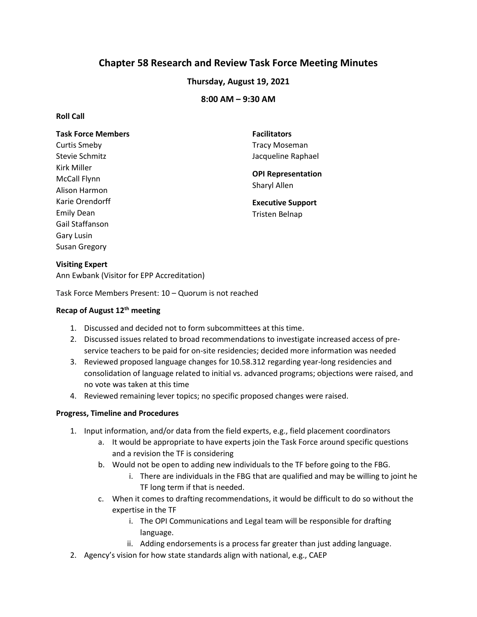# **Chapter 58 Research and Review Task Force Meeting Minutes**

# **Thursday, August 19, 2021**

# **8:00 AM – 9:30 AM**

### **Roll Call**

| <b>Task Force Members</b> | <b>Facilitators</b>       |
|---------------------------|---------------------------|
| <b>Curtis Smeby</b>       | <b>Tracy Moseman</b>      |
| Stevie Schmitz            | Jacqueline Raphael        |
| Kirk Miller               |                           |
| <b>McCall Flynn</b>       | <b>OPI Representation</b> |
| Alison Harmon             | Sharyl Allen              |
| Karie Orendorff           | <b>Executive Support</b>  |
| <b>Emily Dean</b>         | <b>Tristen Belnap</b>     |
| Gail Staffanson           |                           |
| Gary Lusin                |                           |
| <b>Susan Gregory</b>      |                           |

### **Visiting Expert**

Ann Ewbank (Visitor for EPP Accreditation)

Task Force Members Present: 10 – Quorum is not reached

#### **Recap of August 12th meeting**

- 1. Discussed and decided not to form subcommittees at this time.
- 2. Discussed issues related to broad recommendations to investigate increased access of preservice teachers to be paid for on-site residencies; decided more information was needed
- 3. Reviewed proposed language changes for 10.58.312 regarding year-long residencies and consolidation of language related to initial vs. advanced programs; objections were raised, and no vote was taken at this time
- 4. Reviewed remaining lever topics; no specific proposed changes were raised.

#### **Progress, Timeline and Procedures**

- 1. Input information, and/or data from the field experts, e.g., field placement coordinators
	- a. It would be appropriate to have experts join the Task Force around specific questions and a revision the TF is considering
	- b. Would not be open to adding new individuals to the TF before going to the FBG.
		- i. There are individuals in the FBG that are qualified and may be willing to joint he TF long term if that is needed.
	- c. When it comes to drafting recommendations, it would be difficult to do so without the expertise in the TF
		- i. The OPI Communications and Legal team will be responsible for drafting language.
		- ii. Adding endorsements is a process far greater than just adding language.
- 2. Agency's vision for how state standards align with national, e.g., CAEP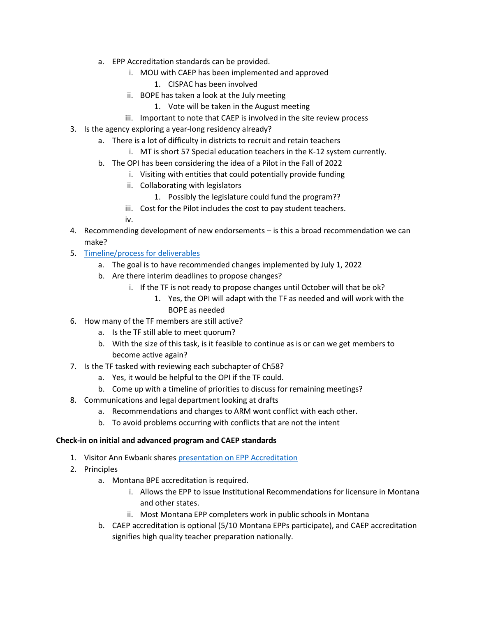- a. EPP Accreditation standards can be provided.
	- i. MOU with CAEP has been implemented and approved
		- 1. CISPAC has been involved
	- ii. BOPE has taken a look at the July meeting
		- 1. Vote will be taken in the August meeting
	- iii. Important to note that CAEP is involved in the site review process
- 3. Is the agency exploring a year-long residency already?
	- a. There is a lot of difficulty in districts to recruit and retain teachers
		- i. MT is short 57 Special education teachers in the K-12 system currently.
	- b. The OPI has been considering the idea of a Pilot in the Fall of 2022
		- i. Visiting with entities that could potentially provide funding
		- ii. Collaborating with legislators
			- 1. Possibly the legislature could fund the program??
		- iii. Cost for the Pilot includes the cost to pay student teachers.
		- iv.
- 4. Recommending development of new endorsements is this a broad recommendation we can make?
- 5. [Timeline/process for deliverables](https://docs.google.com/presentation/d/19EhCkz5BPgHADD6qMhQ8Y09p0pJ47dBv/edit?usp=sharing&ouid=103980653118195900680&rtpof=true&sd=true)
	- a. The goal is to have recommended changes implemented by July 1, 2022
	- b. Are there interim deadlines to propose changes?
		- i. If the TF is not ready to propose changes until October will that be ok?
			- 1. Yes, the OPI will adapt with the TF as needed and will work with the BOPE as needed
- 6. How many of the TF members are still active?
	- a. Is the TF still able to meet quorum?
	- b. With the size of this task, is it feasible to continue as is or can we get members to become active again?
- 7. Is the TF tasked with reviewing each subchapter of Ch58?
	- a. Yes, it would be helpful to the OPI if the TF could.
	- b. Come up with a timeline of priorities to discuss for remaining meetings?
- 8. Communications and legal department looking at drafts
	- a. Recommendations and changes to ARM wont conflict with each other.
	- b. To avoid problems occurring with conflicts that are not the intent

# **Check-in on initial and advanced program and CAEP standards**

- 1. Visitor Ann Ewbank shares [presentation on EPP Accreditation](https://docs.google.com/presentation/d/1GNUfiRz4O1dnutbd99j_lxqR0akk4_Rr/edit?usp=sharing&ouid=103980653118195900680&rtpof=true&sd=true)
- 2. Principles
	- a. Montana BPE accreditation is required.
		- i. Allows the EPP to issue Institutional Recommendations for licensure in Montana and other states.
		- ii. Most Montana EPP completers work in public schools in Montana
	- b. CAEP accreditation is optional (5/10 Montana EPPs participate), and CAEP accreditation signifies high quality teacher preparation nationally.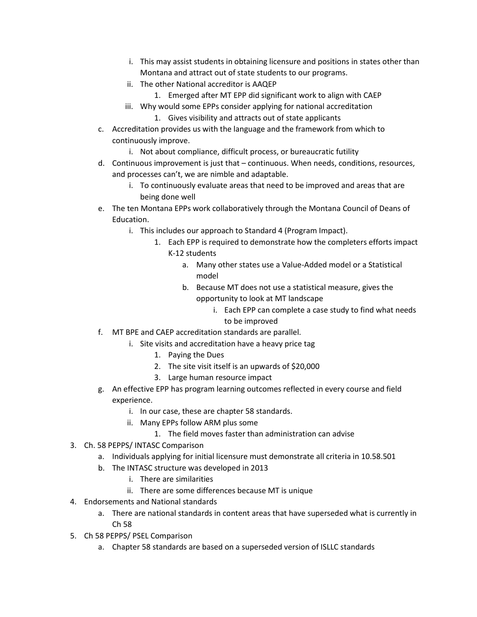- i. This may assist students in obtaining licensure and positions in states other than Montana and attract out of state students to our programs.
- ii. The other National accreditor is AAQEP
	- 1. Emerged after MT EPP did significant work to align with CAEP
- iii. Why would some EPPs consider applying for national accreditation
	- 1. Gives visibility and attracts out of state applicants
- c. Accreditation provides us with the language and the framework from which to continuously improve.
	- i. Not about compliance, difficult process, or bureaucratic futility
- d. Continuous improvement is just that continuous. When needs, conditions, resources, and processes can't, we are nimble and adaptable.
	- i. To continuously evaluate areas that need to be improved and areas that are being done well
- e. The ten Montana EPPs work collaboratively through the Montana Council of Deans of Education.
	- i. This includes our approach to Standard 4 (Program Impact).
		- 1. Each EPP is required to demonstrate how the completers efforts impact K-12 students
			- a. Many other states use a Value-Added model or a Statistical model
			- b. Because MT does not use a statistical measure, gives the opportunity to look at MT landscape
				- i. Each EPP can complete a case study to find what needs to be improved
- f. MT BPE and CAEP accreditation standards are parallel.
	- i. Site visits and accreditation have a heavy price tag
		- 1. Paying the Dues
		- 2. The site visit itself is an upwards of \$20,000
		- 3. Large human resource impact
- g. An effective EPP has program learning outcomes reflected in every course and field experience.
	- i. In our case, these are chapter 58 standards.
	- ii. Many EPPs follow ARM plus some
		- 1. The field moves faster than administration can advise
- 3. Ch. 58 PEPPS/ INTASC Comparison
	- a. Individuals applying for initial licensure must demonstrate all criteria in 10.58.501
	- b. The INTASC structure was developed in 2013
		- i. There are similarities
		- ii. There are some differences because MT is unique
- 4. Endorsements and National standards
	- a. There are national standards in content areas that have superseded what is currently in Ch 58
- 5. Ch 58 PEPPS/ PSEL Comparison
	- a. Chapter 58 standards are based on a superseded version of ISLLC standards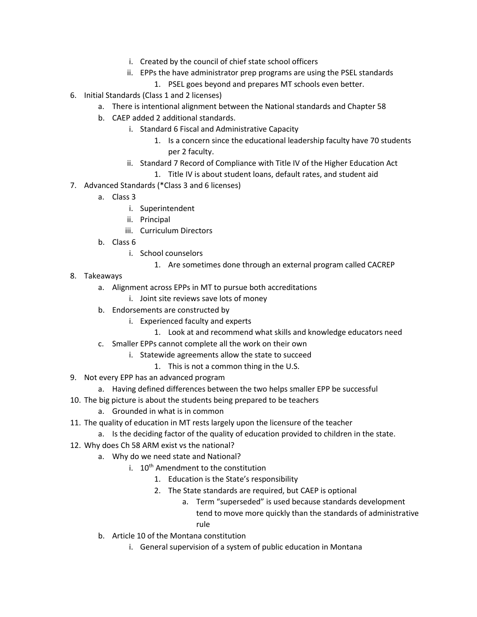- i. Created by the council of chief state school officers
- ii. EPPs the have administrator prep programs are using the PSEL standards
	- 1. PSEL goes beyond and prepares MT schools even better.
- 6. Initial Standards (Class 1 and 2 licenses)
	- a. There is intentional alignment between the National standards and Chapter 58
	- b. CAEP added 2 additional standards.
		- i. Standard 6 Fiscal and Administrative Capacity
			- 1. Is a concern since the educational leadership faculty have 70 students per 2 faculty.
		- ii. Standard 7 Record of Compliance with Title IV of the Higher Education Act
			- 1. Title IV is about student loans, default rates, and student aid
- 7. Advanced Standards (\*Class 3 and 6 licenses)
	- a. Class 3
		- i. Superintendent
		- ii. Principal
		- iii. Curriculum Directors
	- b. Class 6
		- i. School counselors
			- 1. Are sometimes done through an external program called CACREP
- 8. Takeaways
	- a. Alignment across EPPs in MT to pursue both accreditations
		- i. Joint site reviews save lots of money
	- b. Endorsements are constructed by
		- i. Experienced faculty and experts
			- 1. Look at and recommend what skills and knowledge educators need
	- c. Smaller EPPs cannot complete all the work on their own
		- i. Statewide agreements allow the state to succeed
			- 1. This is not a common thing in the U.S.
- 9. Not every EPP has an advanced program
	- a. Having defined differences between the two helps smaller EPP be successful
- 10. The big picture is about the students being prepared to be teachers
	- a. Grounded in what is in common
- 11. The quality of education in MT rests largely upon the licensure of the teacher
	- a. Is the deciding factor of the quality of education provided to children in the state.
- 12. Why does Ch 58 ARM exist vs the national?
	- a. Why do we need state and National?
		- i.  $10<sup>th</sup>$  Amendment to the constitution
			- 1. Education is the State's responsibility
			- 2. The State standards are required, but CAEP is optional
				- a. Term "superseded" is used because standards development tend to move more quickly than the standards of administrative rule
		- b. Article 10 of the Montana constitution
			- i. General supervision of a system of public education in Montana